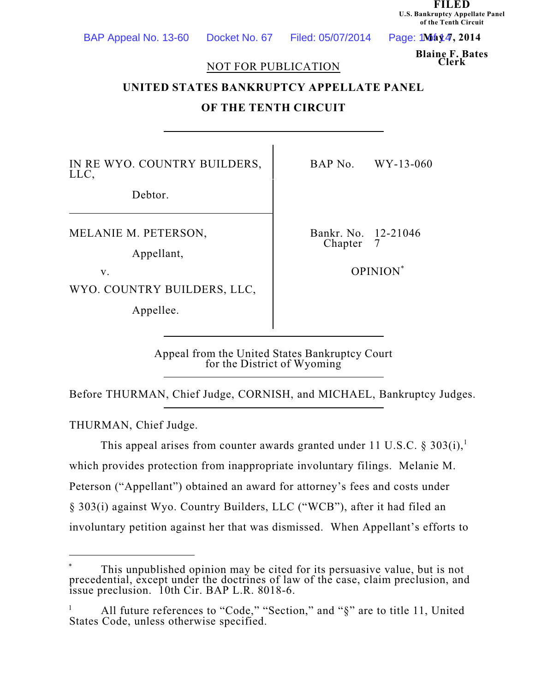**FILED U.S. Bankruptcy Appellate Panel of the Tenth Circuit**

 $Page: 1 \text{M\'a} 44, 2014$ 

**Blaine F. Bates**

#### **Clerk** NOT FOR PUBLICATION

### **UNITED STATES BANKRUPTCY APPELLATE PANEL**

#### **OF THE TENTH CIRCUIT**

IN RE WYO. COUNTRY BUILDERS, LLC,

Debtor.

MELANIE M. PETERSON,

Appellant,

WYO. COUNTRY BUILDERS, LLC,

Appellee.

BAP No. WY-13-060

Bankr. No. 12-21046<br>Chanter 7 Chapter

v. COPINION<sup>\*</sup>

Appeal from the United States Bankruptcy Court for the District of Wyoming

Before THURMAN, Chief Judge, CORNISH, and MICHAEL, Bankruptcy Judges.

THURMAN, Chief Judge.

This appeal arises from counter awards granted under 11 U.S.C. § 303(i),<sup>1</sup> which provides protection from inappropriate involuntary filings. Melanie M. Peterson ("Appellant") obtained an award for attorney's fees and costs under § 303(i) against Wyo. Country Builders, LLC ("WCB"), after it had filed an involuntary petition against her that was dismissed. When Appellant's efforts to

This unpublished opinion may be cited for its persuasive value, but is not \* precedential, except under the doctrines of law of the case, claim preclusion, and issue preclusion. 10th Cir. BAP L.R. 8018-6.

<sup>&</sup>lt;sup>1</sup> All future references to "Code," "Section," and " $\S$ " are to title 11, United States Code, unless otherwise specified.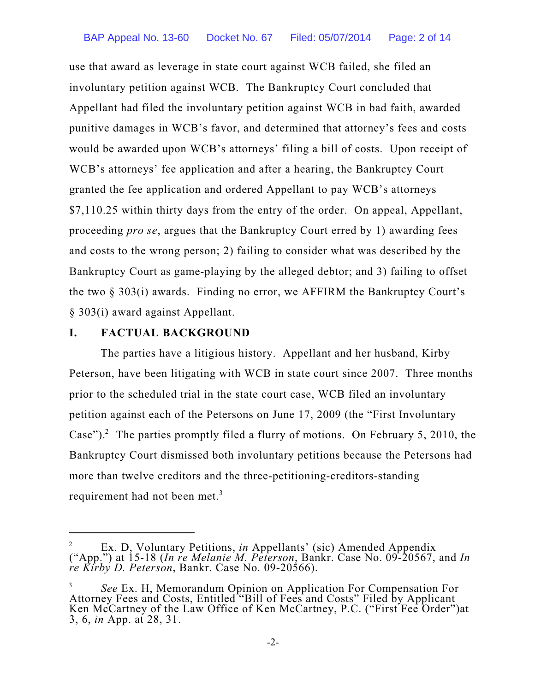use that award as leverage in state court against WCB failed, she filed an involuntary petition against WCB. The Bankruptcy Court concluded that Appellant had filed the involuntary petition against WCB in bad faith, awarded punitive damages in WCB's favor, and determined that attorney's fees and costs would be awarded upon WCB's attorneys' filing a bill of costs. Upon receipt of WCB's attorneys' fee application and after a hearing, the Bankruptcy Court granted the fee application and ordered Appellant to pay WCB's attorneys \$7,110.25 within thirty days from the entry of the order. On appeal, Appellant, proceeding *pro se*, argues that the Bankruptcy Court erred by 1) awarding fees and costs to the wrong person; 2) failing to consider what was described by the Bankruptcy Court as game-playing by the alleged debtor; and 3) failing to offset the two § 303(i) awards. Finding no error, we AFFIRM the Bankruptcy Court's § 303(i) award against Appellant.

# **I. FACTUAL BACKGROUND**

The parties have a litigious history. Appellant and her husband, Kirby Peterson, have been litigating with WCB in state court since 2007. Three months prior to the scheduled trial in the state court case, WCB filed an involuntary petition against each of the Petersons on June 17, 2009 (the "First Involuntary Case").<sup>2</sup> The parties promptly filed a flurry of motions. On February 5, 2010, the Bankruptcy Court dismissed both involuntary petitions because the Petersons had more than twelve creditors and the three-petitioning-creditors-standing requirement had not been met.<sup>3</sup>

<sup>&</sup>lt;sup>2</sup> Ex. D, Voluntary Petitions, *in* Appellants' (sic) Amended Appendix ("App.") at 15-18 (*In re Melanie M. Peterson*, Bankr. Case No. 09-20567, and *In re Kirby D. Peterson*, Bankr. Case No. 09-20566).

*See* Ex. H, Memorandum Opinion on Application For Compensation For 3 Attorney Fees and Costs, Entitled "Bill of Fees and Costs" Filed by Applicant Ken McCartney of the Law Office of Ken McCartney, P.C. ("First Fee Order")at 3, 6, *in* App. at 28, 31.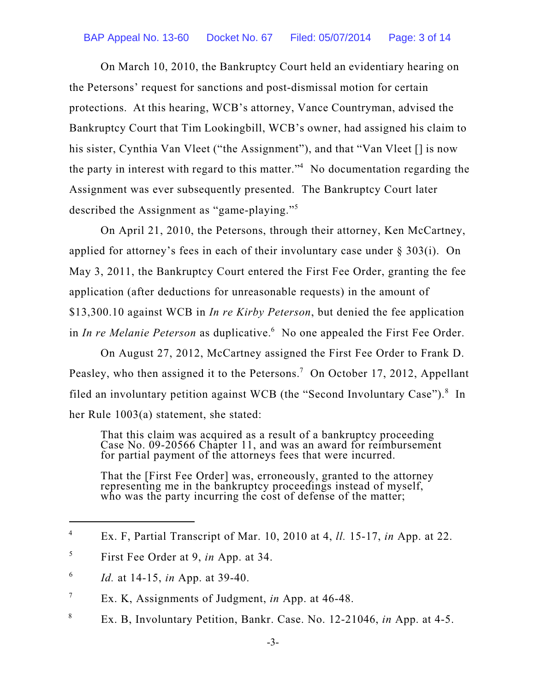On March 10, 2010, the Bankruptcy Court held an evidentiary hearing on the Petersons' request for sanctions and post-dismissal motion for certain protections. At this hearing, WCB's attorney, Vance Countryman, advised the Bankruptcy Court that Tim Lookingbill, WCB's owner, had assigned his claim to his sister, Cynthia Van Vleet ("the Assignment"), and that "Van Vleet [] is now the party in interest with regard to this matter." $4$  No documentation regarding the Assignment was ever subsequently presented. The Bankruptcy Court later described the Assignment as "game-playing."<sup>5</sup>

On April 21, 2010, the Petersons, through their attorney, Ken McCartney, applied for attorney's fees in each of their involuntary case under § 303(i). On May 3, 2011, the Bankruptcy Court entered the First Fee Order, granting the fee application (after deductions for unreasonable requests) in the amount of \$13,300.10 against WCB in *In re Kirby Peterson*, but denied the fee application in *In re Melanie Peterson* as duplicative.<sup>6</sup> No one appealed the First Fee Order.

On August 27, 2012, McCartney assigned the First Fee Order to Frank D. Peasley, who then assigned it to the Petersons.<sup>7</sup> On October 17, 2012, Appellant filed an involuntary petition against WCB (the "Second Involuntary Case").<sup>8</sup> In her Rule 1003(a) statement, she stated:

That this claim was acquired as a result of a bankruptcy proceeding Case No. 09-20566 Chapter 11, and was an award for reimbursement for partial payment of the attorneys fees that were incurred.

That the [First Fee Order] was, erroneously, granted to the attorney representing me in the bankruptcy proceedings instead of myself, who was the party incurring the cost of defense of the matter;

Ex. F, Partial Transcript of Mar. 10, 2010 at 4, *ll.* 15-17, *in* App. at 22. 4

First Fee Order at 9, *in* App. at 34. 5

*Id.* at 14-15, *in* App. at 39-40. 6

Ex. K, Assignments of Judgment, *in* App. at 46-48. 7

Ex. B, Involuntary Petition, Bankr. Case. No. 12-21046, *in* App. at 4-5. 8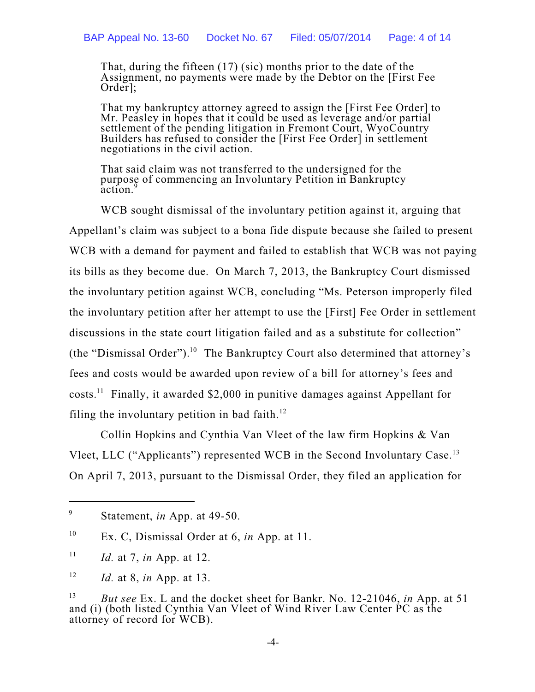That, during the fifteen (17) (sic) months prior to the date of the Assignment, no payments were made by the Debtor on the [First Fee Order];

That my bankruptcy attorney agreed to assign the [First Fee Order] to Mr. Peasley in hopes that it could be used as leverage and/or partial settlement of the pending litigation in Fremont Court, WyoCountry Builders has refused to consider the [First Fee Order] in settlement negotiations in the civil action.

That said claim was not transferred to the undersigned for the purpose of commencing an Involuntary Petition in Bankruptcy action.<sup>9</sup>

WCB sought dismissal of the involuntary petition against it, arguing that Appellant's claim was subject to a bona fide dispute because she failed to present WCB with a demand for payment and failed to establish that WCB was not paying its bills as they become due. On March 7, 2013, the Bankruptcy Court dismissed the involuntary petition against WCB, concluding "Ms. Peterson improperly filed the involuntary petition after her attempt to use the [First] Fee Order in settlement discussions in the state court litigation failed and as a substitute for collection" (the "Dismissal Order").<sup>10</sup> The Bankruptcy Court also determined that attorney's fees and costs would be awarded upon review of a bill for attorney's fees and costs.<sup>11</sup> Finally, it awarded \$2,000 in punitive damages against Appellant for filing the involuntary petition in bad faith.<sup>12</sup>

Collin Hopkins and Cynthia Van Vleet of the law firm Hopkins & Van Vleet, LLC ("Applicants") represented WCB in the Second Involuntary Case.<sup>13</sup> On April 7, 2013, pursuant to the Dismissal Order, they filed an application for

Statement, *in* App. at 49-50. 9

Ex. C, Dismissal Order at 6, *in* App. at 11. 10

*Id.* at 7, *in* App. at 12. 11

*Id.* at 8, *in* App. at 13. 12

*But see* Ex. L and the docket sheet for Bankr. No. 12-21046, *in* App. at 51 13 and (i) (both listed Cynthia Van Vleet of Wind River Law Center PC as the attorney of record for WCB).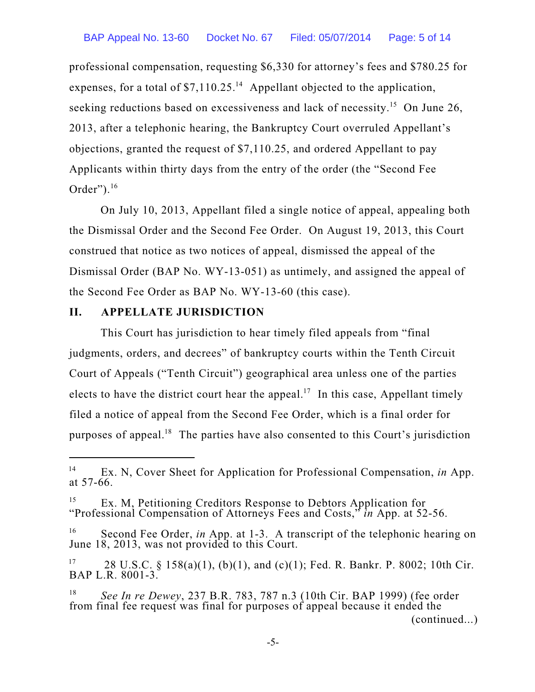professional compensation, requesting \$6,330 for attorney's fees and \$780.25 for expenses, for a total of  $$7,110.25$ .<sup>14</sup> Appellant objected to the application, seeking reductions based on excessiveness and lack of necessity.<sup>15</sup> On June 26, 2013, after a telephonic hearing, the Bankruptcy Court overruled Appellant's objections, granted the request of \$7,110.25, and ordered Appellant to pay Applicants within thirty days from the entry of the order (the "Second Fee Order"). 16

On July 10, 2013, Appellant filed a single notice of appeal, appealing both the Dismissal Order and the Second Fee Order. On August 19, 2013, this Court construed that notice as two notices of appeal, dismissed the appeal of the Dismissal Order (BAP No. WY-13-051) as untimely, and assigned the appeal of the Second Fee Order as BAP No. WY-13-60 (this case).

#### **II. APPELLATE JURISDICTION**

This Court has jurisdiction to hear timely filed appeals from "final judgments, orders, and decrees" of bankruptcy courts within the Tenth Circuit Court of Appeals ("Tenth Circuit") geographical area unless one of the parties elects to have the district court hear the appeal.<sup>17</sup> In this case, Appellant timely filed a notice of appeal from the Second Fee Order, which is a final order for purposes of appeal.<sup>18</sup> The parties have also consented to this Court's jurisdiction

Ex. N, Cover Sheet for Application for Professional Compensation, *in* App. 14 at 57-66.

Ex. M, Petitioning Creditors Response to Debtors Application for 15 "Professional Compensation of Attorneys Fees and Costs," *in* App. at 52-56.

<sup>&</sup>lt;sup>16</sup> Second Fee Order, *in* App. at 1-3. A transcript of the telephonic hearing on June 18, 2013, was not provided to this Court.

<sup>28</sup> U.S.C. § 158(a)(1), (b)(1), and (c)(1); Fed. R. Bankr. P. 8002; 10th Cir. 17 BAP L.R. 8001-3.

*See In re Dewey*, 237 B.R. 783, 787 n.3 (10th Cir. BAP 1999) (fee order 18 from final fee request was final for purposes of appeal because it ended the (continued...)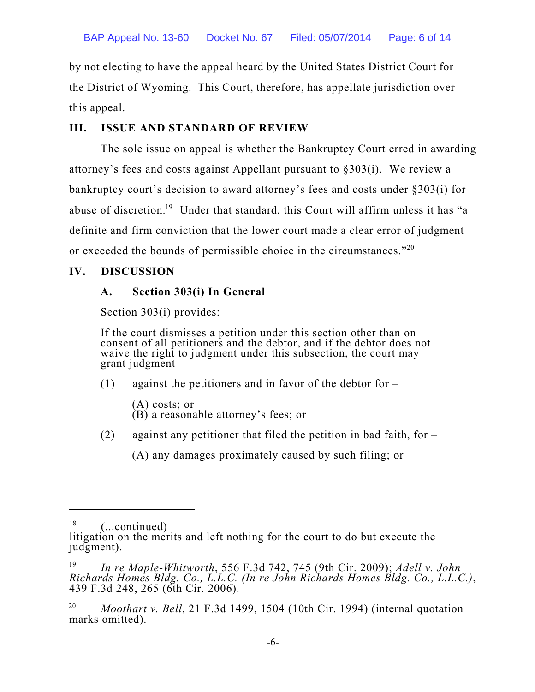by not electing to have the appeal heard by the United States District Court for the District of Wyoming. This Court, therefore, has appellate jurisdiction over this appeal.

# **III. ISSUE AND STANDARD OF REVIEW**

The sole issue on appeal is whether the Bankruptcy Court erred in awarding attorney's fees and costs against Appellant pursuant to §303(i). We review a bankruptcy court's decision to award attorney's fees and costs under §303(i) for abuse of discretion.<sup>19</sup> Under that standard, this Court will affirm unless it has "a definite and firm conviction that the lower court made a clear error of judgment or exceeded the bounds of permissible choice in the circumstances." $^{20}$ 

# **IV. DISCUSSION**

# **A. Section 303(i) In General**

Section 303(i) provides:

If the court dismisses a petition under this section other than on consent of all petitioners and the debtor, and if the debtor does not waive the right to judgment under this subsection, the court may grant judgment –

(1) against the petitioners and in favor of the debtor for  $-$ 

- (A) costs; or (B) a reasonable attorney's fees; or
- (2) against any petitioner that filed the petition in bad faith, for  $-$

(A) any damages proximately caused by such filing; or

<sup>(...</sup>continued) 18

litigation on the merits and left nothing for the court to do but execute the judgment).

*In re Maple-Whitworth*, 556 F.3d 742, 745 (9th Cir. 2009); *Adell v. John* 19 *Richards Homes Bldg. Co., L.L.C. (In re John Richards Homes Bldg. Co., L.L.C.)*, 439 F.3d 248, 265 (6th Cir. 2006).

*Moothart v. Bell*, 21 F.3d 1499, 1504 (10th Cir. 1994) (internal quotation 20 marks omitted).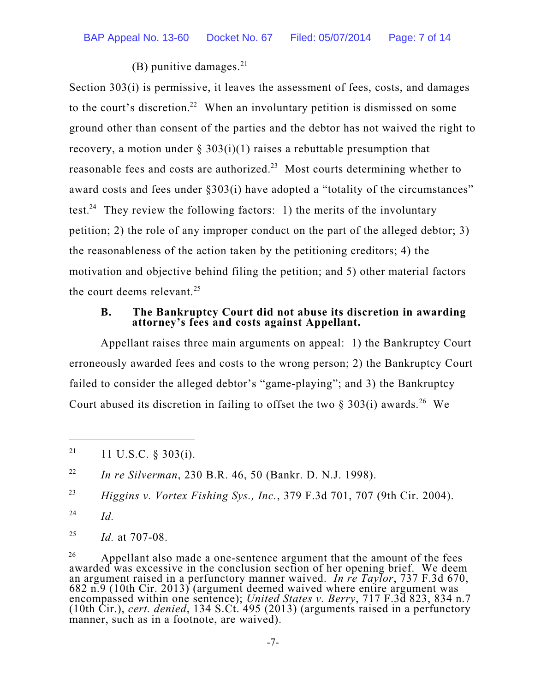(B) punitive damages. $^{21}$ 

Section 303(i) is permissive, it leaves the assessment of fees, costs, and damages to the court's discretion.<sup>22</sup> When an involuntary petition is dismissed on some ground other than consent of the parties and the debtor has not waived the right to recovery, a motion under  $\S 303(i)(1)$  raises a rebuttable presumption that reasonable fees and costs are authorized. $23$  Most courts determining whether to award costs and fees under §303(i) have adopted a "totality of the circumstances" test.<sup>24</sup> They review the following factors: 1) the merits of the involuntary petition; 2) the role of any improper conduct on the part of the alleged debtor; 3) the reasonableness of the action taken by the petitioning creditors; 4) the motivation and objective behind filing the petition; and 5) other material factors the court deems relevant. 25

#### **B. The Bankruptcy Court did not abuse its discretion in awarding attorney's fees and costs against Appellant.**

Appellant raises three main arguments on appeal: 1) the Bankruptcy Court erroneously awarded fees and costs to the wrong person; 2) the Bankruptcy Court failed to consider the alleged debtor's "game-playing"; and 3) the Bankruptcy Court abused its discretion in failing to offset the two  $\S 303(i)$  awards.<sup>26</sup> We

*Id.* 24

*Id.* at 707-08. 25

 $26$  Appellant also made a one-sentence argument that the amount of the fees awarded was excessive in the conclusion section of her opening brief. We deem an argument raised in a perfunctory manner waived. *In re Taylor*, 737 F.3d 670, 682 n.9 (10th Cir. 2013) (argument deemed waived where entire argument was encompassed within one sentence); *United States v. Berry*, 717 F.3d 823, 834 n.7 (10th Cir.), *cert. denied*, 134 S.Ct. 495 (2013) (arguments raised in a perfunctory manner, such as in a footnote, are waived).

<sup>11</sup> U.S.C. § 303(i). 21

*In re Silverman*, 230 B.R. 46, 50 (Bankr. D. N.J. 1998). 22

*Higgins v. Vortex Fishing Sys., Inc.*, 379 F.3d 701, 707 (9th Cir. 2004). 23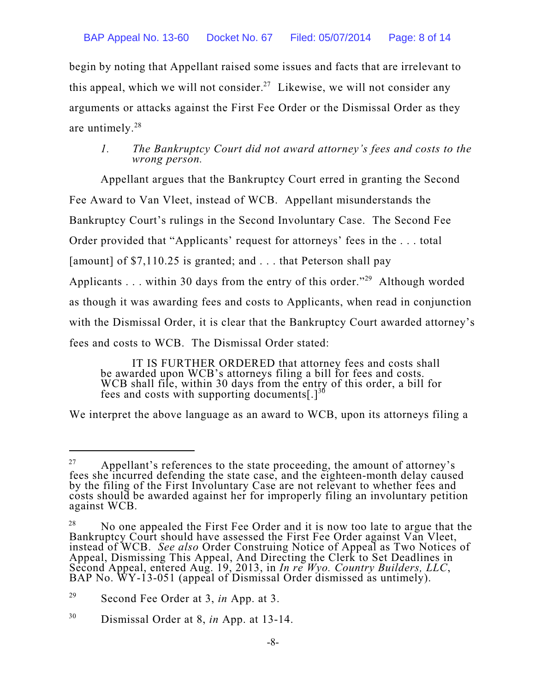begin by noting that Appellant raised some issues and facts that are irrelevant to this appeal, which we will not consider.<sup>27</sup> Likewise, we will not consider any arguments or attacks against the First Fee Order or the Dismissal Order as they are untimely. 28

### *1. The Bankruptcy Court did not award attorney's fees and costs to the wrong person.*

Appellant argues that the Bankruptcy Court erred in granting the Second Fee Award to Van Vleet, instead of WCB. Appellant misunderstands the Bankruptcy Court's rulings in the Second Involuntary Case. The Second Fee Order provided that "Applicants' request for attorneys' fees in the . . . total [amount] of \$7,110.25 is granted; and . . . that Peterson shall pay Applicants . . . within 30 days from the entry of this order."<sup>29</sup> Although worded as though it was awarding fees and costs to Applicants, when read in conjunction with the Dismissal Order, it is clear that the Bankruptcy Court awarded attorney's fees and costs to WCB. The Dismissal Order stated:

IT IS FURTHER ORDERED that attorney fees and costs shall be awarded upon WCB's attorneys filing a bill for fees and costs. WCB shall file, within 30 days from the entry of this order, a bill for fees and costs with supporting documents[.] $^{36}$ 

We interpret the above language as an award to WCB, upon its attorneys filing a

Appellant's references to the state proceeding, the amount of attorney's 27 fees she incurred defending the state case, and the eighteen-month delay caused by the filing of the First Involuntary Case are not relevant to whether fees and costs should be awarded against her for improperly filing an involuntary petition against WCB.

No one appealed the First Fee Order and it is now too late to argue that the 28 Bankruptcy Court should have assessed the First Fee Order against Van Vleet, instead of WCB. *See also* Order Construing Notice of Appeal as Two Notices of Appeal, Dismissing This Appeal, And Directing the Clerk to Set Deadlines in Second Appeal, entered Aug. 19, 2013, in *In re Wyo. Country Builders, LLC*, BAP No. WY-13-051 (appeal of Dismissal Order dismissed as untimely).

Second Fee Order at 3, *in* App. at 3. 29

Dismissal Order at 8, *in* App. at 13-14. 30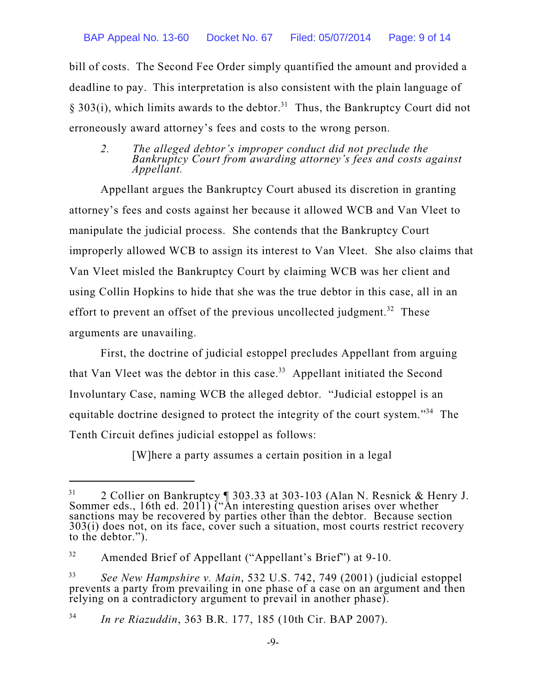bill of costs. The Second Fee Order simply quantified the amount and provided a deadline to pay. This interpretation is also consistent with the plain language of § 303(i), which limits awards to the debtor.<sup>31</sup> Thus, the Bankruptcy Court did not erroneously award attorney's fees and costs to the wrong person.

*2. The alleged debtor's improper conduct did not preclude the Bankruptcy Court from awarding attorney's fees and costs against Appellant.*

Appellant argues the Bankruptcy Court abused its discretion in granting attorney's fees and costs against her because it allowed WCB and Van Vleet to manipulate the judicial process. She contends that the Bankruptcy Court improperly allowed WCB to assign its interest to Van Vleet. She also claims that Van Vleet misled the Bankruptcy Court by claiming WCB was her client and using Collin Hopkins to hide that she was the true debtor in this case, all in an effort to prevent an offset of the previous uncollected judgment.<sup>32</sup> These arguments are unavailing.

First, the doctrine of judicial estoppel precludes Appellant from arguing that Van Vleet was the debtor in this case. $33$  Appellant initiated the Second Involuntary Case, naming WCB the alleged debtor. "Judicial estoppel is an equitable doctrine designed to protect the integrity of the court system."<sup>34</sup> The Tenth Circuit defines judicial estoppel as follows:

[W]here a party assumes a certain position in a legal

<sup>&</sup>lt;sup>31</sup> 2 Collier on Bankruptcy  $\sqrt{ }$  303.33 at 303-103 (Alan N. Resnick & Henry J. Sommer eds., 16th ed. 2011) ("An interesting question arises over whether sanctions may be recovered by parties other than the debtor. Because section 303(i) does not, on its face, cover such a situation, most courts restrict recovery to the debtor.").

Amended Brief of Appellant ("Appellant's Brief") at 9-10. 32

*See New Hampshire v. Main*, 532 U.S. 742, 749 (2001) (judicial estoppel 33 prevents a party from prevailing in one phase of a case on an argument and then relying on a contradictory argument to prevail in another phase).

*In re Riazuddin*, 363 B.R. 177, 185 (10th Cir. BAP 2007). 34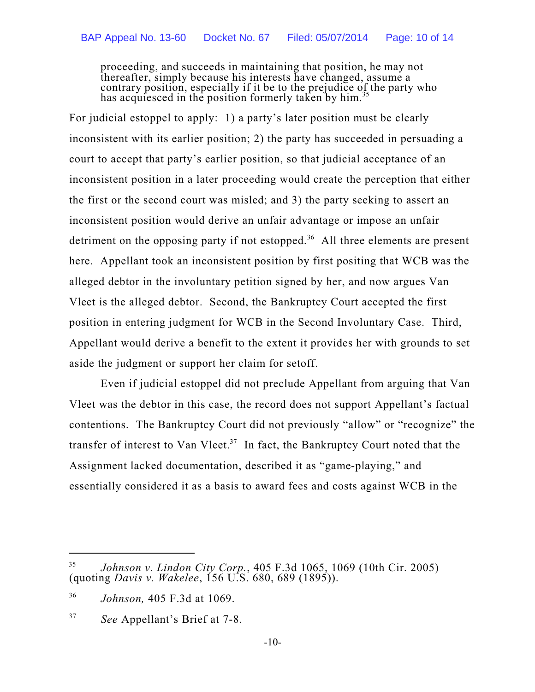proceeding, and succeeds in maintaining that position, he may not thereafter, simply because his interests have changed, assume a contrary position, especially if it be to the prejudice of the party who has acquiesced in the position formerly taken by him.<sup>35</sup>

For judicial estoppel to apply: 1) a party's later position must be clearly inconsistent with its earlier position; 2) the party has succeeded in persuading a court to accept that party's earlier position, so that judicial acceptance of an inconsistent position in a later proceeding would create the perception that either the first or the second court was misled; and 3) the party seeking to assert an inconsistent position would derive an unfair advantage or impose an unfair detriment on the opposing party if not estopped.<sup>36</sup> All three elements are present here. Appellant took an inconsistent position by first positing that WCB was the alleged debtor in the involuntary petition signed by her, and now argues Van Vleet is the alleged debtor. Second, the Bankruptcy Court accepted the first position in entering judgment for WCB in the Second Involuntary Case. Third, Appellant would derive a benefit to the extent it provides her with grounds to set aside the judgment or support her claim for setoff.

Even if judicial estoppel did not preclude Appellant from arguing that Van Vleet was the debtor in this case, the record does not support Appellant's factual contentions. The Bankruptcy Court did not previously "allow" or "recognize" the transfer of interest to Van Vleet.<sup>37</sup> In fact, the Bankruptcy Court noted that the Assignment lacked documentation, described it as "game-playing," and essentially considered it as a basis to award fees and costs against WCB in the

*Johnson v. Lindon City Corp.*, 405 F.3d 1065, 1069 (10th Cir. 2005) 35 (quoting *Davis v. Wakelee*, 156 U.S. 680, 689 (1895)).

*Johnson,* 405 F.3d at 1069. 36

*See* Appellant's Brief at 7-8. 37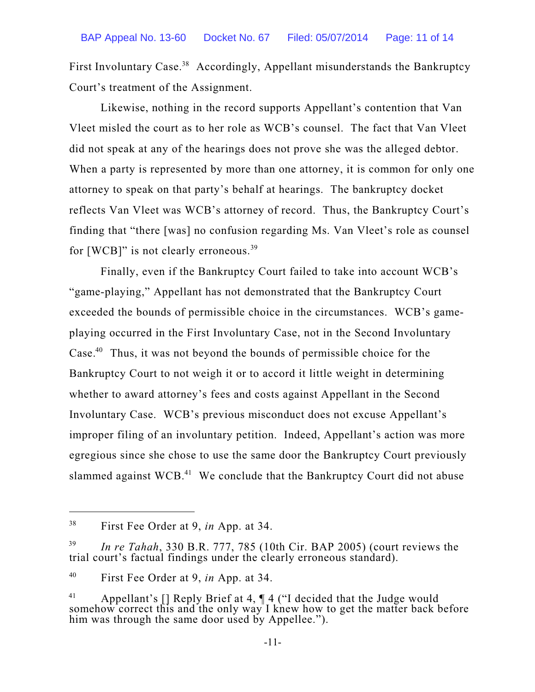First Involuntary Case.<sup>38</sup> Accordingly, Appellant misunderstands the Bankruptcy Court's treatment of the Assignment.

Likewise, nothing in the record supports Appellant's contention that Van Vleet misled the court as to her role as WCB's counsel. The fact that Van Vleet did not speak at any of the hearings does not prove she was the alleged debtor. When a party is represented by more than one attorney, it is common for only one attorney to speak on that party's behalf at hearings. The bankruptcy docket reflects Van Vleet was WCB's attorney of record. Thus, the Bankruptcy Court's finding that "there [was] no confusion regarding Ms. Van Vleet's role as counsel for [WCB]" is not clearly erroneous.<sup>39</sup>

Finally, even if the Bankruptcy Court failed to take into account WCB's "game-playing," Appellant has not demonstrated that the Bankruptcy Court exceeded the bounds of permissible choice in the circumstances. WCB's gameplaying occurred in the First Involuntary Case, not in the Second Involuntary Case. $40$  Thus, it was not beyond the bounds of permissible choice for the Bankruptcy Court to not weigh it or to accord it little weight in determining whether to award attorney's fees and costs against Appellant in the Second Involuntary Case. WCB's previous misconduct does not excuse Appellant's improper filing of an involuntary petition. Indeed, Appellant's action was more egregious since she chose to use the same door the Bankruptcy Court previously slammed against WCB. $^{41}$  We conclude that the Bankruptcy Court did not abuse

First Fee Order at 9, *in* App. at 34. 38

*In re Tahah*, 330 B.R. 777, 785 (10th Cir. BAP 2005) (court reviews the 39 trial court's factual findings under the clearly erroneous standard).

First Fee Order at 9, *in* App. at 34. 40

<sup>&</sup>lt;sup>41</sup> Appellant's [] Reply Brief at 4,  $\P$  4 ("I decided that the Judge would somehow correct this and the only way I knew how to get the matter back before him was through the same door used by Appellee.").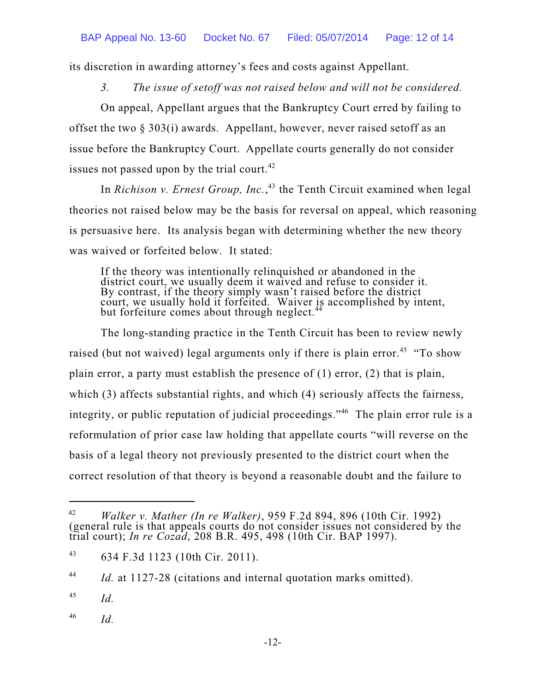its discretion in awarding attorney's fees and costs against Appellant.

*3. The issue of setoff was not raised below and will not be considered.*

On appeal, Appellant argues that the Bankruptcy Court erred by failing to offset the two § 303(i) awards. Appellant, however, never raised setoff as an issue before the Bankruptcy Court. Appellate courts generally do not consider issues not passed upon by the trial court.<sup>42</sup>

In *Richison v. Ernest Group, Inc.*,<sup>43</sup> the Tenth Circuit examined when legal theories not raised below may be the basis for reversal on appeal, which reasoning is persuasive here. Its analysis began with determining whether the new theory was waived or forfeited below. It stated:

If the theory was intentionally relinquished or abandoned in the district court, we usually deem it waived and refuse to consider it. By contrast, if the theory simply wasn't raised before the district court, we usually hold it forfeited. Waiver is accomplished by intent, but forfeiture comes about through neglect.<sup>44</sup>

The long-standing practice in the Tenth Circuit has been to review newly raised (but not waived) legal arguments only if there is plain error.<sup>45</sup> "To show plain error, a party must establish the presence of (1) error, (2) that is plain, which (3) affects substantial rights, and which (4) seriously affects the fairness, integrity, or public reputation of judicial proceedings."<sup>46</sup> The plain error rule is a reformulation of prior case law holding that appellate courts "will reverse on the basis of a legal theory not previously presented to the district court when the correct resolution of that theory is beyond a reasonable doubt and the failure to

*Id.* at 1127-28 (citations and internal quotation marks omitted). 44

*Id.* 45

*Id.* 46

*Walker v. Mather (In re Walker)*, 959 F.2d 894, 896 (10th Cir. 1992) 42 (general rule is that appeals courts do not consider issues not considered by the trial court); *In re Cozad*, 208 B.R. 495, 498 (10th Cir. BAP 1997).

<sup>634</sup> F.3d 1123 (10th Cir. 2011). 43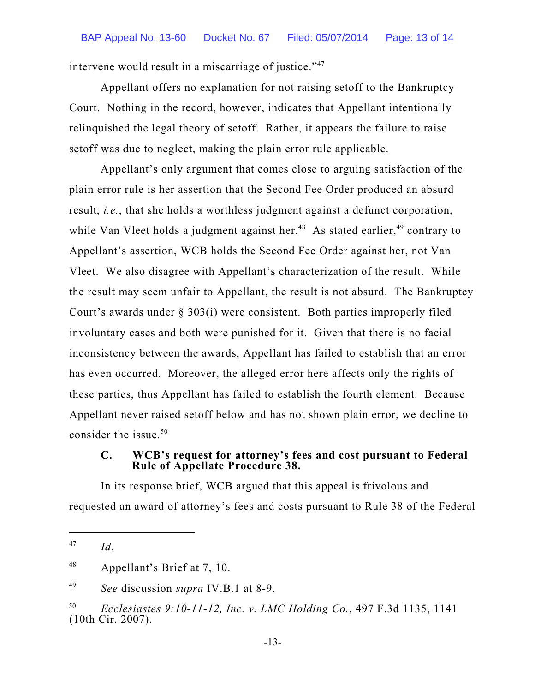intervene would result in a miscarriage of justice."<sup>47</sup>

Appellant offers no explanation for not raising setoff to the Bankruptcy Court. Nothing in the record, however, indicates that Appellant intentionally relinquished the legal theory of setoff. Rather, it appears the failure to raise setoff was due to neglect, making the plain error rule applicable.

Appellant's only argument that comes close to arguing satisfaction of the plain error rule is her assertion that the Second Fee Order produced an absurd result, *i.e.*, that she holds a worthless judgment against a defunct corporation, while Van Vleet holds a judgment against her.<sup>48</sup> As stated earlier,<sup>49</sup> contrary to Appellant's assertion, WCB holds the Second Fee Order against her, not Van Vleet. We also disagree with Appellant's characterization of the result. While the result may seem unfair to Appellant, the result is not absurd. The Bankruptcy Court's awards under § 303(i) were consistent. Both parties improperly filed involuntary cases and both were punished for it. Given that there is no facial inconsistency between the awards, Appellant has failed to establish that an error has even occurred. Moreover, the alleged error here affects only the rights of these parties, thus Appellant has failed to establish the fourth element. Because Appellant never raised setoff below and has not shown plain error, we decline to consider the issue. 50

#### **C. WCB's request for attorney's fees and cost pursuant to Federal Rule of Appellate Procedure 38.**

In its response brief, WCB argued that this appeal is frivolous and requested an award of attorney's fees and costs pursuant to Rule 38 of the Federal

*See* discussion *supra* IV.B.1 at 8-9. 49

*Id.* 47

Appellant's Brief at 7, 10. 48

*Ecclesiastes 9:10-11-12, Inc. v. LMC Holding Co.*, 497 F.3d 1135, 1141 50 (10th Cir. 2007).